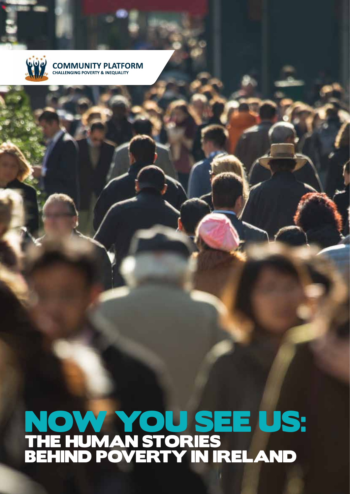

## **COMMUNITY PLATFORM**<br>CHALLENGING POVERTY & INEQUALITY

## Now you see us: The human stories behind poverty in Ireland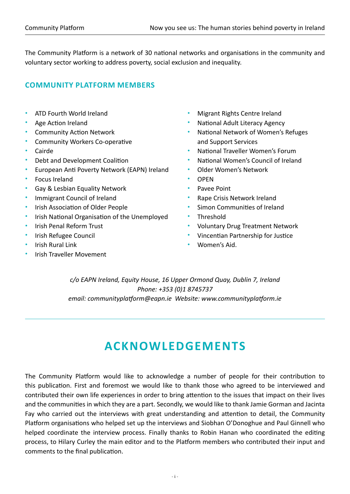The Community Platform is a network of 30 national networks and organisations in the community and voluntary sector working to address poverty, social exclusion and inequality.

#### **Community Platform members**

- ATD Fourth World Ireland
- Age Action Ireland
- Community Action Network
- Community Workers Co-operative
- Cairde
- Debt and Development Coalition
- European Anti Poverty Network (EAPN) Ireland
- Focus Ireland
- Gay & Lesbian Equality Network
- Immigrant Council of Ireland
- Irish Association of Older People
- Irish National Organisation of the Unemployed
- Irish Penal Reform Trust
- Irish Refugee Council
- Irish Rural Link
- Irish Traveller Movement
- Migrant Rights Centre Ireland
- National Adult Literacy Agency
- National Network of Women's Refuges and Support Services
- National Traveller Women's Forum
- National Women's Council of Ireland
- Older Women's Network
- OPEN
- Pavee Point
- Rape Crisis Network Ireland
- Simon Communities of Ireland
- **Threshold**
- Voluntary Drug Treatment Network
- Vincentian Partnership for Justice
- Women's Aid.

*c/o EAPN Ireland, Equity House, 16 Upper Ormond Quay, Dublin 7, Ireland Phone: +353 (0)1 8745737 email: communityplatform@eapn.ie Website: www.communityplatform.ie*

### **Acknowledgements**

The Community Platform would like to acknowledge a number of people for their contribution to this publication. First and foremost we would like to thank those who agreed to be interviewed and contributed their own life experiences in order to bring attention to the issues that impact on their lives and the communities in which they are a part. Secondly, we would like to thank Jamie Gorman and Jacinta Fay who carried out the interviews with great understanding and attention to detail, the Community Platform organisations who helped set up the interviews and Siobhan O'Donoghue and Paul Ginnell who helped coordinate the interview process. Finally thanks to Robin Hanan who coordinated the editing process, to Hilary Curley the main editor and to the Platform members who contributed their input and comments to the final publication.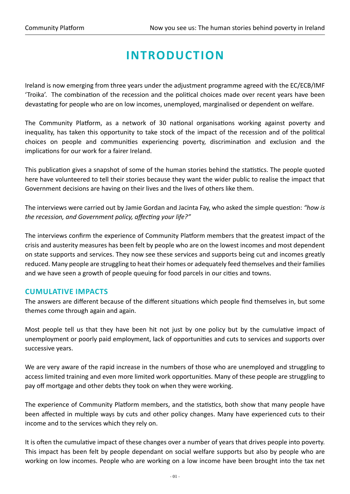## **Introduction**

Ireland is now emerging from three years under the adjustment programme agreed with the EC/ECB/IMF 'Troika'. The combination of the recession and the political choices made over recent years have been devastating for people who are on low incomes, unemployed, marginalised or dependent on welfare.

The Community Platform, as a network of 30 national organisations working against poverty and inequality, has taken this opportunity to take stock of the impact of the recession and of the political choices on people and communities experiencing poverty, discrimination and exclusion and the implications for our work for a fairer Ireland.

This publication gives a snapshot of some of the human stories behind the statistics. The people quoted here have volunteered to tell their stories because they want the wider public to realise the impact that Government decisions are having on their lives and the lives of others like them.

The interviews were carried out by Jamie Gordan and Jacinta Fay, who asked the simple question: *"how is the recession, and Government policy, affecting your life?"*

The interviews confirm the experience of Community Platform members that the greatest impact of the crisis and austerity measures has been felt by people who are on the lowest incomes and most dependent on state supports and services. They now see these services and supports being cut and incomes greatly reduced. Many people are struggling to heat their homes or adequately feed themselves and their families and we have seen a growth of people queuing for food parcels in our cities and towns.

#### **Cumulative Impacts**

The answers are different because of the different situations which people find themselves in, but some themes come through again and again.

Most people tell us that they have been hit not just by one policy but by the cumulative impact of unemployment or poorly paid employment, lack of opportunities and cuts to services and supports over successive years.

We are very aware of the rapid increase in the numbers of those who are unemployed and struggling to access limited training and even more limited work opportunities. Many of these people are struggling to pay off mortgage and other debts they took on when they were working.

The experience of Community Platform members, and the statistics, both show that many people have been affected in multiple ways by cuts and other policy changes. Many have experienced cuts to their income and to the services which they rely on.

It is often the cumulative impact of these changes over a number of years that drives people into poverty. This impact has been felt by people dependant on social welfare supports but also by people who are working on low incomes. People who are working on a low income have been brought into the tax net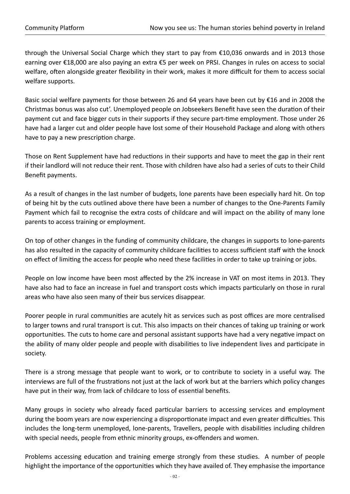through the Universal Social Charge which they start to pay from €10,036 onwards and in 2013 those earning over €18,000 are also paying an extra €5 per week on PRSI. Changes in rules on access to social welfare, often alongside greater flexibility in their work, makes it more difficult for them to access social welfare supports.

Basic social welfare payments for those between 26 and 64 years have been cut by €16 and in 2008 the Christmas bonus was also cut'. Unemployed people on Jobseekers Benefit have seen the duration of their payment cut and face bigger cuts in their supports if they secure part-time employment. Those under 26 have had a larger cut and older people have lost some of their Household Package and along with others have to pay a new prescription charge.

Those on Rent Supplement have had reductions in their supports and have to meet the gap in their rent if their landlord will not reduce their rent. Those with children have also had a series of cuts to their Child Benefit payments.

As a result of changes in the last number of budgets, lone parents have been especially hard hit. On top of being hit by the cuts outlined above there have been a number of changes to the One-Parents Family Payment which fail to recognise the extra costs of childcare and will impact on the ability of many lone parents to access training or employment.

On top of other changes in the funding of community childcare, the changes in supports to lone-parents has also resulted in the capacity of community childcare facilities to access sufficient staff with the knock on effect of limiting the access for people who need these facilities in order to take up training or jobs.

People on low income have been most affected by the 2% increase in VAT on most items in 2013. They have also had to face an increase in fuel and transport costs which impacts particularly on those in rural areas who have also seen many of their bus services disappear.

Poorer people in rural communities are acutely hit as services such as post offices are more centralised to larger towns and rural transport is cut. This also impacts on their chances of taking up training or work opportunities. The cuts to home care and personal assistant supports have had a very negative impact on the ability of many older people and people with disabilities to live independent lives and participate in society.

There is a strong message that people want to work, or to contribute to society in a useful way. The interviews are full of the frustrations not just at the lack of work but at the barriers which policy changes have put in their way, from lack of childcare to loss of essential benefits.

Many groups in society who already faced particular barriers to accessing services and employment during the boom years are now experiencing a disproportionate impact and even greater difficulties. This includes the long-term unemployed, lone-parents, Travellers, people with disabilities including children with special needs, people from ethnic minority groups, ex-offenders and women.

Problems accessing education and training emerge strongly from these studies. A number of people highlight the importance of the opportunities which they have availed of. They emphasise the importance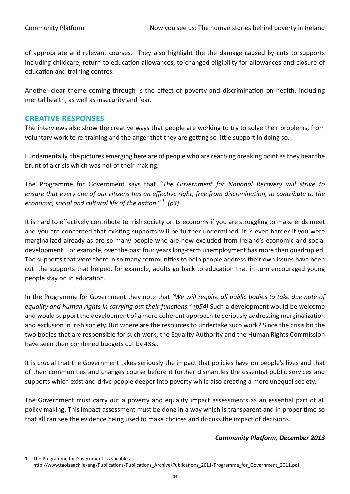of appropriate and relevant courses. They also highlight the the damage caused by cuts to supports including childcare, return to education allowances, to changed eligibility for allowances and closure of education and training centres.

Another clear theme coming through is the effect of poverty and discrimination on health, including mental health, as well as insecurity and fear.

#### **Creative responses**

The interviews also show the creative ways that people are working to try to solve their problems, from voluntary work to re-training and the anger that they are getting so little support in doing so.

Fundamentally, the pictures emerging here are of people who are reaching breaking point as they bear the brunt of a crisis which was not of their making.

The Programme for Government says that *"The Government for National Recovery will strive to ensure that every one of our citizens has an effective right, free from discrimination, to contribute to the economic, social and cultural life of the nation." <sup>1</sup> (p3)* 

It is hard to effectively contribute to Irish society or its economy if you are struggling to make ends meet and you are concerned that existing supports will be further undermined. It is even harder if you were marginalized already as are so many people who are now excluded from Ireland's economic and social development. For example, over the past four years long-term unemployment has more than quadrupled. The supports that were there in so many communities to help people address their own issues have been cut: the supports that helped, for example, adults go back to education that in turn encouraged young people stay on in education.

In the Programme for Government they note that *"We will require all public bodies to take due note of equality and human rights in carrying out their functions." (p54)* Such a development would be welcome and would support the development of a more coherent approach to seriously addressing marginalization and exclusion in Irish society. But where are the resources to undertake such work? Since the crisis hit the two bodies that are responsible for such work, the Equality Authority and the Human Rights Commission have seen their combined budgets cut by 43%.

It is crucial that the Government takes seriously the impact that policies have on people's lives and that of their communities and changes course before it further dismantles the essential public services and supports which exist and drive people deeper into poverty while also creating a more unequal society.

The Government must carry out a poverty and equality impact assessments as an essential part of all policy making. This impact assessment must be done in a way which is transparent and in proper time so that all can see the evidence being used to make choices and discuss the impact of decisions.

#### *Community Platform, December 2013*

<sup>1.</sup> The Programme for Government is available at: http://www.taoiseach.ie/eng/Publications/Publications\_Archive/Publications\_2011/Programme\_for\_Government\_2011.pdf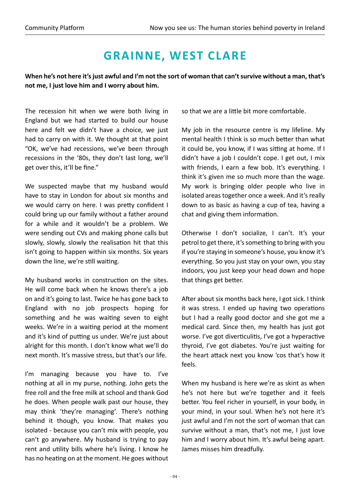## **Grainne, West Clare**

**When he's not here it's just awful and I'm not the sort of woman that can't survive without a man, that's not me, I just love him and I worry about him.**

The recession hit when we were both living in England but we had started to build our house here and felt we didn't have a choice, we just had to carry on with it. We thought at that point "OK, we've had recessions, we've been through recessions in the '80s, they don't last long, we'll get over this, it'll be fine."

We suspected maybe that my husband would have to stay in London for about six months and we would carry on here. I was pretty confident I could bring up our family without a father around for a while and it wouldn't be a problem. We were sending out CVs and making phone calls but slowly, slowly, slowly the realisation hit that this isn't going to happen within six months. Six years down the line, we're still waiting.

My husband works in construction on the sites. He will come back when he knows there's a job on and it's going to last. Twice he has gone back to England with no job prospects hoping for something and he was waiting seven to eight weeks. We're in a waiting period at the moment and it's kind of putting us under. We're just about alright for this month. I don't know what we'll do next month. It's massive stress, but that's our life.

I'm managing because you have to. I've nothing at all in my purse, nothing. John gets the free roll and the free milk at school and thank God he does. When people walk past our house, they may think 'they're managing'. There's nothing behind it though, you know. That makes you isolated - because you can't mix with people, you can't go anywhere. My husband is trying to pay rent and utility bills where he's living. I know he has no heating on at the moment. He goes without so that we are a little bit more comfortable.

My job in the resource centre is my lifeline. My mental health I think is so much better than what it could be, you know, if I was sitting at home. If I didn't have a job I couldn't cope. I get out, I mix with friends, I earn a few bob. It's everything. I think it's given me so much more than the wage. My work is bringing older people who live in isolated areas together once a week. And it's really down to as basic as having a cup of tea, having a chat and giving them information.

Otherwise I don't socialize, I can't. It's your petrol to get there, it's something to bring with you if you're staying in someone's house, you know it's everything. So you just stay on your own, you stay indoors, you just keep your head down and hope that things get better.

After about six months back here, I got sick. I think it was stress. I ended up having two operations but I had a really good doctor and she got me a medical card. Since then, my health has just got worse. I've got diverticulitis, I've got a hyperactive thyroid, I've got diabetes. You're just waiting for the heart attack next you know 'cos that's how it feels.

When my husband is here we're as skint as when he's not here but we're together and it feels better. You feel richer in yourself, in your body, in your mind, in your soul. When he's not here it's just awful and I'm not the sort of woman that can survive without a man, that's not me, I just love him and I worry about him. It's awful being apart. James misses him dreadfully.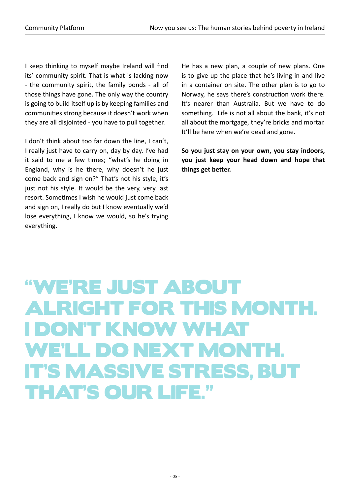I keep thinking to myself maybe Ireland will find its' community spirit. That is what is lacking now - the community spirit, the family bonds - all of those things have gone. The only way the country is going to build itself up is by keeping families and communities strong because it doesn't work when they are all disjointed - you have to pull together.

I don't think about too far down the line, I can't, I really just have to carry on, day by day. I've had it said to me a few times; "what's he doing in England, why is he there, why doesn't he just come back and sign on?" That's not his style, it's just not his style. It would be the very, very last resort. Sometimes I wish he would just come back and sign on, I really do but I know eventually we'd lose everything, I know we would, so he's trying everything.

He has a new plan, a couple of new plans. One is to give up the place that he's living in and live in a container on site. The other plan is to go to Norway, he says there's construction work there. It's nearer than Australia. But we have to do something. Life is not all about the bank, it's not all about the mortgage, they're bricks and mortar. It'll be here when we're dead and gone.

**So you just stay on your own, you stay indoors, you just keep your head down and hope that things get better.**

# "We're just about alright for this month. I don't know what we'll do next month. It's massive stress, but that's our life."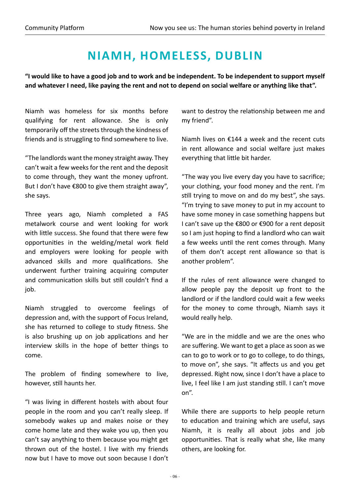## **Niamh, Homeless, Dublin**

**"I would like to have a good job and to work and be independent. To be independent to support myself and whatever I need, like paying the rent and not to depend on social welfare or anything like that".**

Niamh was homeless for six months before qualifying for rent allowance. She is only temporarily off the streets through the kindness of friends and is struggling to find somewhere to live.

"The landlords want the money straight away. They can't wait a few weeks for the rent and the deposit to come through, they want the money upfront. But I don't have €800 to give them straight away", she says.

Three years ago, Niamh completed a FAS metalwork course and went looking for work with little success. She found that there were few opportunities in the welding/metal work field and employers were looking for people with advanced skills and more qualifications. She underwent further training acquiring computer and communication skills but still couldn't find a job.

Niamh struggled to overcome feelings of depression and, with the support of Focus Ireland, she has returned to college to study fitness. She is also brushing up on job applications and her interview skills in the hope of better things to come.

The problem of finding somewhere to live, however, still haunts her.

"I was living in different hostels with about four people in the room and you can't really sleep. If somebody wakes up and makes noise or they come home late and they wake you up, then you can't say anything to them because you might get thrown out of the hostel. I live with my friends now but I have to move out soon because I don't

want to destroy the relationship between me and my friend".

Niamh lives on €144 a week and the recent cuts in rent allowance and social welfare just makes everything that little bit harder.

"The way you live every day you have to sacrifice; your clothing, your food money and the rent. I'm still trying to move on and do my best", she says. "I'm trying to save money to put in my account to have some money in case something happens but I can't save up the €800 or €900 for a rent deposit so I am just hoping to find a landlord who can wait a few weeks until the rent comes through. Many of them don't accept rent allowance so that is another problem".

If the rules of rent allowance were changed to allow people pay the deposit up front to the landlord or if the landlord could wait a few weeks for the money to come through, Niamh says it would really help.

"We are in the middle and we are the ones who are suffering. We want to get a place as soon as we can to go to work or to go to college, to do things, to move on", she says. "It affects us and you get depressed. Right now, since I don't have a place to live, I feel like I am just standing still. I can't move on".

While there are supports to help people return to education and training which are useful, says Niamh, it is really all about jobs and job opportunities. That is really what she, like many others, are looking for.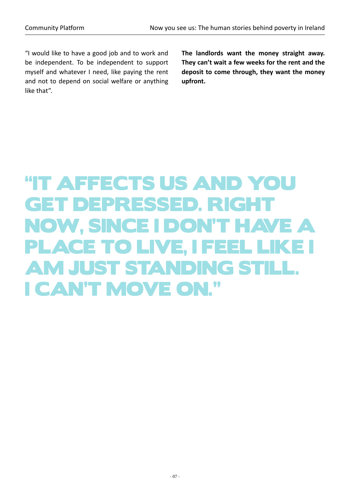"I would like to have a good job and to work and be independent. To be independent to support myself and whatever I need, like paying the rent and not to depend on social welfare or anything like that".

**The landlords want the money straight away. They can't wait a few weeks for the rent and the deposit to come through, they want the money upfront.**

# "It affects us and you get depressed. Right now, since I don't have a place to live, I feel like I am just standing still. I can't move on."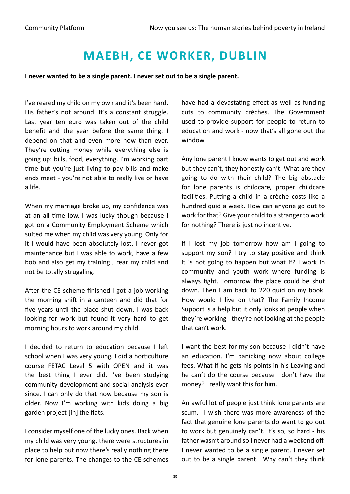#### **Maebh, CE Worker, Dublin**

**I never wanted to be a single parent. I never set out to be a single parent.**

I've reared my child on my own and it's been hard. His father's not around. It's a constant struggle. Last year ten euro was taken out of the child benefit and the year before the same thing. I depend on that and even more now than ever. They're cutting money while everything else is going up: bills, food, everything. I'm working part time but you're just living to pay bills and make ends meet - you're not able to really live or have a life.

When my marriage broke up, my confidence was at an all time low. I was lucky though because I got on a Community Employment Scheme which suited me when my child was very young. Only for it I would have been absolutely lost. I never got maintenance but I was able to work, have a few bob and also get my training , rear my child and not be totally struggling.

After the CE scheme finished I got a job working the morning shift in a canteen and did that for five years until the place shut down. I was back looking for work but found it very hard to get morning hours to work around my child.

I decided to return to education because I left school when I was very young. I did a horticulture course FETAC Level 5 with OPEN and it was the best thing I ever did. I've been studying community development and social analysis ever since. I can only do that now because my son is older. Now I'm working with kids doing a big garden project [in] the flats.

I consider myself one of the lucky ones. Back when my child was very young, there were structures in place to help but now there's really nothing there for lone parents. The changes to the CE schemes

have had a devastating effect as well as funding cuts to community crèches. The Government used to provide support for people to return to education and work - now that's all gone out the window.

Any lone parent I know wants to get out and work but they can't, they honestly can't. What are they going to do with their child? The big obstacle for lone parents is childcare, proper childcare facilities. Putting a child in a crèche costs like a hundred quid a week. How can anyone go out to work for that? Give your child to a stranger to work for nothing? There is just no incentive.

If I lost my job tomorrow how am I going to support my son? I try to stay positive and think it is not going to happen but what if? I work in community and youth work where funding is always tight. Tomorrow the place could be shut down. Then I am back to 220 quid on my book. How would I live on that? The Family Income Support is a help but it only looks at people when they're working - they're not looking at the people that can't work.

I want the best for my son because I didn't have an education. I'm panicking now about college fees. What if he gets his points in his Leaving and he can't do the course because I don't have the money? I really want this for him.

An awful lot of people just think lone parents are scum. I wish there was more awareness of the fact that genuine lone parents do want to go out to work but genuinely can't. It's so, so hard - his father wasn't around so I never had a weekend off. I never wanted to be a single parent. I never set out to be a single parent. Why can't they think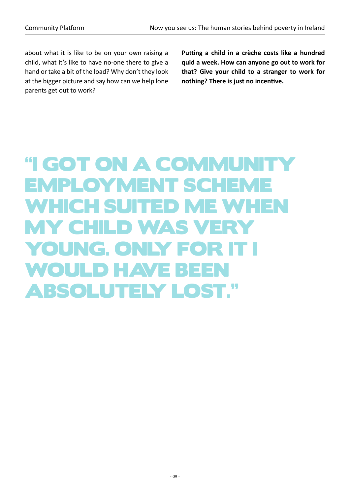about what it is like to be on your own raising a child, what it's like to have no-one there to give a hand or take a bit of the load? Why don't they look at the bigger picture and say how can we help lone parents get out to work?

**Putting a child in a crèche costs like a hundred quid a week. How can anyone go out to work for that? Give your child to a stranger to work for nothing? There is just no incentive.**

## "I GOT ON A COMMUNITY Employment Scheme which suited me when my child was very YOUNG. ONLY FO WOULD HAVE BEE absolutely lost."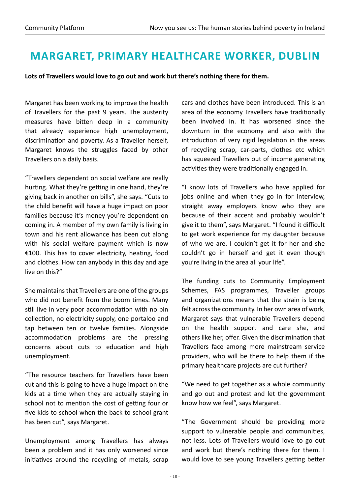#### **Margaret, Primary Healthcare Worker, Dublin**

**Lots of Travellers would love to go out and work but there's nothing there for them.**

Margaret has been working to improve the health of Travellers for the past 9 years. The austerity measures have bitten deep in a community that already experience high unemployment, discrimination and poverty. As a Traveller herself, Margaret knows the struggles faced by other Travellers on a daily basis.

"Travellers dependent on social welfare are really hurting. What they're getting in one hand, they're giving back in another on bills", she says. "Cuts to the child benefit will have a huge impact on poor families because it's money you're dependent on coming in. A member of my own family is living in town and his rent allowance has been cut along with his social welfare payment which is now €100. This has to cover electricity, heating, food and clothes. How can anybody in this day and age live on this?"

She maintains that Travellers are one of the groups who did not benefit from the boom times. Many still live in very poor accommodation with no bin collection, no electricity supply, one portaloo and tap between ten or twelve families. Alongside accommodation problems are the pressing concerns about cuts to education and high unemployment.

"The resource teachers for Travellers have been cut and this is going to have a huge impact on the kids at a time when they are actually staying in school not to mention the cost of getting four or five kids to school when the back to school grant has been cut", says Margaret.

Unemployment among Travellers has always been a problem and it has only worsened since initiatives around the recycling of metals, scrap cars and clothes have been introduced. This is an area of the economy Travellers have traditionally been involved in. It has worsened since the downturn in the economy and also with the introduction of very rigid legislation in the areas of recycling scrap, car-parts, clothes etc which has squeezed Travellers out of income generating activities they were traditionally engaged in.

"I know lots of Travellers who have applied for jobs online and when they go in for interview, straight away employers know who they are because of their accent and probably wouldn't give it to them", says Margaret. "I found it difficult to get work experience for my daughter because of who we are. I couldn't get it for her and she couldn't go in herself and get it even though you're living in the area all your life".

The funding cuts to Community Employment Schemes, FAS programmes, Traveller groups and organizations means that the strain is being felt across the community. In her own area of work, Margaret says that vulnerable Travellers depend on the health support and care she, and others like her, offer. Given the discrimination that Travellers face among more mainstream service providers, who will be there to help them if the primary healthcare projects are cut further?

"We need to get together as a whole community and go out and protest and let the government know how we feel", says Margaret.

"The Government should be providing more support to vulnerable people and communities, not less. Lots of Travellers would love to go out and work but there's nothing there for them. I would love to see young Travellers getting better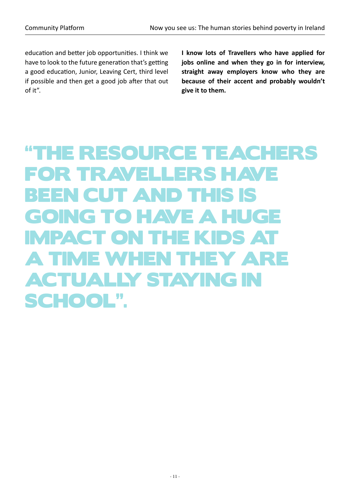education and better job opportunities. I think we have to look to the future generation that's getting a good education, Junior, Leaving Cert, third level if possible and then get a good job after that out of it".

**I know lots of Travellers who have applied for jobs online and when they go in for interview, straight away employers know who they are because of their accent and probably wouldn't give it to them.**

# "The resource teachers for Travellers have been cut and this is going to have a huge impact on the kids at a time when they are actually staying in school".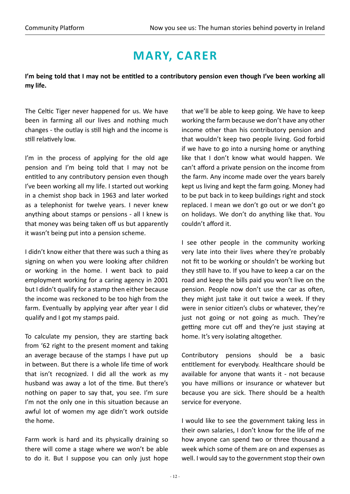## **Mary, Carer**

**I'm being told that I may not be entitled to a contributory pension even though I've been working all my life.** 

The Celtic Tiger never happened for us. We have been in farming all our lives and nothing much changes - the outlay is still high and the income is still relatively low.

I'm in the process of applying for the old age pension and I'm being told that I may not be entitled to any contributory pension even though I've been working all my life. I started out working in a chemist shop back in 1963 and later worked as a telephonist for twelve years. I never knew anything about stamps or pensions - all I knew is that money was being taken off us but apparently it wasn't being put into a pension scheme.

I didn't know either that there was such a thing as signing on when you were looking after children or working in the home. I went back to paid employment working for a caring agency in 2001 but I didn't qualify for a stamp then either because the income was reckoned to be too high from the farm. Eventually by applying year after year I did qualify and I got my stamps paid.

To calculate my pension, they are starting back from '62 right to the present moment and taking an average because of the stamps I have put up in between. But there is a whole life time of work that isn't recognized. I did all the work as my husband was away a lot of the time. But there's nothing on paper to say that, you see. I'm sure I'm not the only one in this situation because an awful lot of women my age didn't work outside the home.

Farm work is hard and its physically draining so there will come a stage where we won't be able to do it. But I suppose you can only just hope that we'll be able to keep going. We have to keep working the farm because we don't have any other income other than his contributory pension and that wouldn't keep two people living. God forbid if we have to go into a nursing home or anything like that I don't know what would happen. We can't afford a private pension on the income from the farm. Any income made over the years barely kept us living and kept the farm going. Money had to be put back in to keep buildings right and stock replaced. I mean we don't go out or we don't go on holidays. We don't do anything like that. You couldn't afford it.

I see other people in the community working very late into their lives where they're probably not fit to be working or shouldn't be working but they still have to. If you have to keep a car on the road and keep the bills paid you won't live on the pension. People now don't use the car as often, they might just take it out twice a week. If they were in senior citizen's clubs or whatever, they're just not going or not going as much. They're getting more cut off and they're just staying at home. It's very isolating altogether.

Contributory pensions should be a basic entitlement for everybody. Healthcare should be available for anyone that wants it - not because you have millions or insurance or whatever but because you are sick. There should be a health service for everyone.

I would like to see the government taking less in their own salaries, I don't know for the life of me how anyone can spend two or three thousand a week which some of them are on and expenses as well. I would say to the government stop their own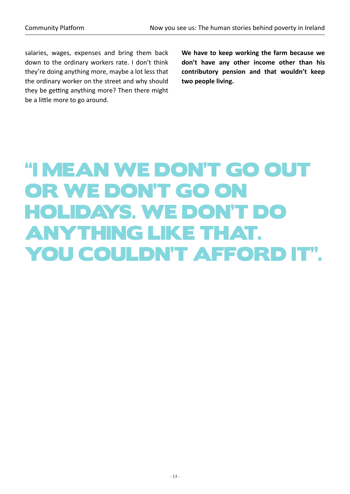salaries, wages, expenses and bring them back down to the ordinary workers rate. I don't think they're doing anything more, maybe a lot less that the ordinary worker on the street and why should they be getting anything more? Then there might be a little more to go around.

**We have to keep working the farm because we don't have any other income other than his contributory pension and that wouldn't keep two people living.** 

# "I mean we don't go out OR WE DON'T GO ON holidays. We don't do anything like that. You couldn't afford it".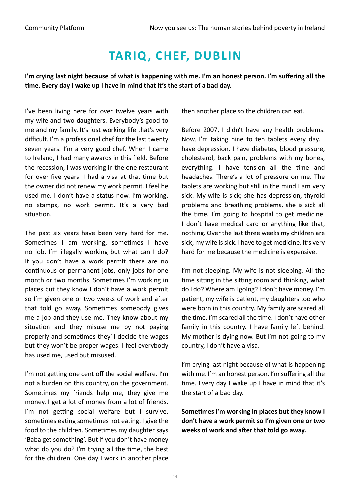## **Tariq , Chef, Dublin**

**I'm crying last night because of what is happening with me. I'm an honest person. I'm suffering all the time. Every day I wake up I have in mind that it's the start of a bad day.**

I've been living here for over twelve years with my wife and two daughters. Everybody's good to me and my family. It's just working life that's very difficult. I'm a professional chef for the last twenty seven years. I'm a very good chef. When I came to Ireland, I had many awards in this field. Before the recession, I was working in the one restaurant for over five years. I had a visa at that time but the owner did not renew my work permit. I feel he used me. I don't have a status now. I'm working, no stamps, no work permit. It's a very bad situation.

The past six years have been very hard for me. Sometimes I am working, sometimes I have no job. I'm illegally working but what can I do? If you don't have a work permit there are no continuous or permanent jobs, only jobs for one month or two months. Sometimes I'm working in places but they know I don't have a work permit so I'm given one or two weeks of work and after that told go away. Sometimes somebody gives me a job and they use me. They know about my situation and they misuse me by not paying properly and sometimes they'll decide the wages but they won't be proper wages. I feel everybody has used me, used but misused.

I'm not getting one cent off the social welfare. I'm not a burden on this country, on the government. Sometimes my friends help me, they give me money. I get a lot of money from a lot of friends. I'm not getting social welfare but I survive, sometimes eating sometimes not eating. I give the food to the children. Sometimes my daughter says 'Baba get something'. But if you don't have money what do you do? I'm trying all the time, the best for the children. One day I work in another place then another place so the children can eat.

Before 2007, I didn't have any health problems. Now, I'm taking nine to ten tablets every day. I have depression, I have diabetes, blood pressure, cholesterol, back pain, problems with my bones, everything. I have tension all the time and headaches. There's a lot of pressure on me. The tablets are working but still in the mind I am very sick. My wife is sick; she has depression, thyroid problems and breathing problems, she is sick all the time. I'm going to hospital to get medicine. I don't have medical card or anything like that, nothing. Over the last three weeks my children are sick, my wife is sick. I have to get medicine. It's very hard for me because the medicine is expensive.

I'm not sleeping. My wife is not sleeping. All the time sitting in the sitting room and thinking, what do I do? Where am I going? I don't have money. I'm patient, my wife is patient, my daughters too who were born in this country. My family are scared all the time. I'm scared all the time. I don't have other family in this country. I have family left behind. My mother is dying now. But I'm not going to my country, I don't have a visa.

I'm crying last night because of what is happening with me. I'm an honest person. I'm suffering all the time. Every day I wake up I have in mind that it's the start of a bad day.

**Sometimes I'm working in places but they know I don't have a work permit so I'm given one or two weeks of work and after that told go away.**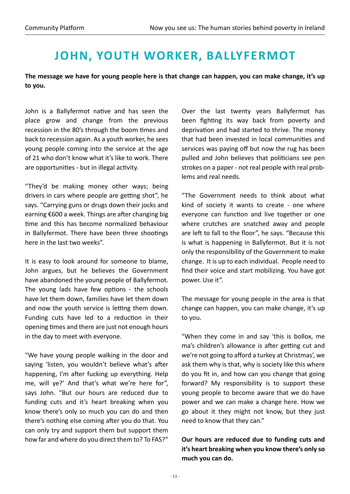#### **John, Youth Worker, Ballyfermot**

**The message we have for young people here is that change can happen, you can make change, it's up to you.** 

John is a Ballyfermot native and has seen the place grow and change from the previous recession in the 80's through the boom times and back to recession again. As a youth worker, he sees young people coming into the service at the age of 21 who don't know what it's like to work. There are opportunities - but in illegal activity.

"They'd be making money other ways; being drivers in cars where people are getting shot", he says. "Carrying guns or drugs down their jocks and earning €600 a week. Things are after changing big time and this has become normalized behaviour in Ballyfermot. There have been three shootings here in the last two weeks".

It is easy to look around for someone to blame, John argues, but he believes the Government have abandoned the young people of Ballyfermot. The young lads have few options - the schools have let them down, families have let them down and now the youth service is letting them down. Funding cuts have led to a reduction in their opening times and there are just not enough hours in the day to meet with everyone.

"We have young people walking in the door and saying 'listen, you wouldn't believe what's after happening, I'm after fucking up everything. Help me, will ye?' And that's what we're here for", says John. "But our hours are reduced due to funding cuts and it's heart breaking when you know there's only so much you can do and then there's nothing else coming after you do that. You can only try and support them but support them how far and where do you direct them to? To FAS?"

Over the last twenty years Ballyfermot has been fighting its way back from poverty and deprivation and had started to thrive. The money that had been invested in local communities and services was paying off but now the rug has been pulled and John believes that politicians see pen strokes on a paper - not real people with real problems and real needs.

"The Government needs to think about what kind of society it wants to create - one where everyone can function and live together or one where crutches are snatched away and people are left to fall to the floor", he says. "Because this is what is happening in Ballyfermot. But it is not only the responsibility of the Government to make change. It is up to each individual. People need to find their voice and start mobilizing. You have got power. Use it".

The message for young people in the area is that change can happen, you can make change, it's up to you.

"When they come in and say 'this is bollox, me ma's children's allowance is after getting cut and we're not going to afford a turkey at Christmas', we ask them why is that, why is society like this where do you fit in, and how can you change that going forward? My responsibility is to support these young people to become aware that we do have power and we can make a change here. How we go about it they might not know, but they just need to know that they can."

#### **Our hours are reduced due to funding cuts and it's heart breaking when you know there's only so much you can do.**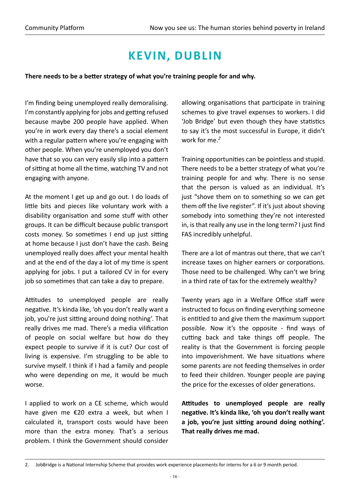### **Kevin, Dublin**

**There needs to be a better strategy of what you're training people for and why.** 

I'm finding being unemployed really demoralising. I'm constantly applying for jobs and getting refused because maybe 200 people have applied. When you're in work every day there's a social element with a regular pattern where you're engaging with other people. When you're unemployed you don't have that so you can very easily slip into a pattern of sitting at home all the time, watching TV and not engaging with anyone.

At the moment I get up and go out. I do loads of little bits and pieces like voluntary work with a disability organisation and some stuff with other groups. It can be difficult because public transport costs money. So sometimes I end up just sitting at home because I just don't have the cash. Being unemployed really does affect your mental health and at the end of the day a lot of my time is spent applying for jobs. I put a tailored CV in for every job so sometimes that can take a day to prepare.

Attitudes to unemployed people are really negative. It's kinda like, 'oh you don't really want a job, you're just sitting around doing nothing'. That really drives me mad. There's a media vilification of people on social welfare but how do they expect people to survive if it is cut? Our cost of living is expensive. I'm struggling to be able to survive myself. I think if I had a family and people who were depending on me, it would be much worse.

I applied to work on a CE scheme, which would have given me €20 extra a week, but when I calculated it, transport costs would have been more than the extra money. That's a serious problem. I think the Government should consider

allowing organisations that participate in training schemes to give travel expenses to workers. I did 'Job Bridge' but even though they have statistics to say it's the most successful in Europe, it didn't work for me.*<sup>2</sup>*

Training opportunities can be pointless and stupid. There needs to be a better strategy of what you're training people for and why. There is no sense that the person is valued as an individual. It's just "shove them on to something so we can get them off the live register". If it's just about shoving somebody into something they're not interested in, is that really any use in the long term? I just find FAS incredibly unhelpful.

There are a lot of mantras out there, that we can't increase taxes on higher earners or corporations. Those need to be challenged. Why can't we bring in a third rate of tax for the extremely wealthy?

Twenty years ago in a Welfare Office staff were instructed to focus on finding everything someone is entitled to and give them the maximum support possible. Now it's the opposite - find ways of cutting back and take things off people. The reality is that the Government is forcing people into impoverishment. We have situations where some parents are not feeding themselves in order to feed their children. Younger people are paying the price for the excesses of older generations.

**Attitudes to unemployed people are really negative. It's kinda like, 'oh you don't really want a job, you're just sitting around doing nothing'. That really drives me mad.**

<sup>2.</sup> JobBridge is a National Internship Scheme that provides work experience placements for interns for a 6 or 9 month period.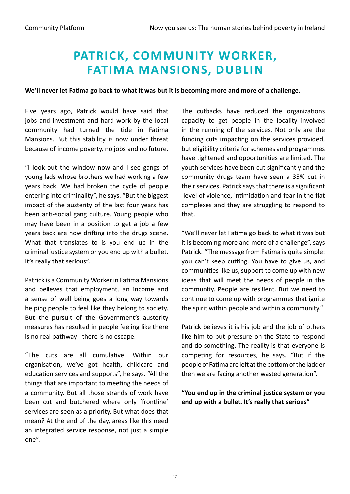#### **Patrick, Community Worker, Fatima Mansions, Dublin**

**We'll never let Fatima go back to what it was but it is becoming more and more of a challenge.**

Five years ago, Patrick would have said that jobs and investment and hard work by the local community had turned the tide in Fatima Mansions. But this stability is now under threat because of income poverty, no jobs and no future.

"I look out the window now and I see gangs of young lads whose brothers we had working a few years back. We had broken the cycle of people entering into criminality", he says. "But the biggest impact of the austerity of the last four years has been anti-social gang culture. Young people who may have been in a position to get a job a few years back are now drifting into the drugs scene. What that translates to is you end up in the criminal justice system or you end up with a bullet. It's really that serious".

Patrick is a Community Worker in Fatima Mansions and believes that employment, an income and a sense of well being goes a long way towards helping people to feel like they belong to society. But the pursuit of the Government's austerity measures has resulted in people feeling like there is no real pathway - there is no escape.

"The cuts are all cumulative. Within our organisation, we've got health, childcare and education services and supports", he says. "All the things that are important to meeting the needs of a community. But all those strands of work have been cut and butchered where only 'frontline' services are seen as a priority. But what does that mean? At the end of the day, areas like this need an integrated service response, not just a simple one".

The cutbacks have reduced the organizations capacity to get people in the locality involved in the running of the services. Not only are the funding cuts impacting on the services provided, but eligibility criteria for schemes and programmes have tightened and opportunities are limited. The youth services have been cut significantly and the community drugs team have seen a 35% cut in their services. Patrick says that there is a significant level of violence, intimidation and fear in the flat complexes and they are struggling to respond to that.

"We'll never let Fatima go back to what it was but it is becoming more and more of a challenge", says Patrick. "The message from Fatima is quite simple: you can't keep cutting. You have to give us, and communities like us, support to come up with new ideas that will meet the needs of people in the community. People are resilient. But we need to continue to come up with programmes that ignite the spirit within people and within a community."

Patrick believes it is his job and the job of others like him to put pressure on the State to respond and do something. The reality is that everyone is competing for resources, he says. "But if the people of Fatima are left at the bottom of the ladder then we are facing another wasted generation".

#### **"You end up in the criminal justice system or you end up with a bullet. It's really that serious"**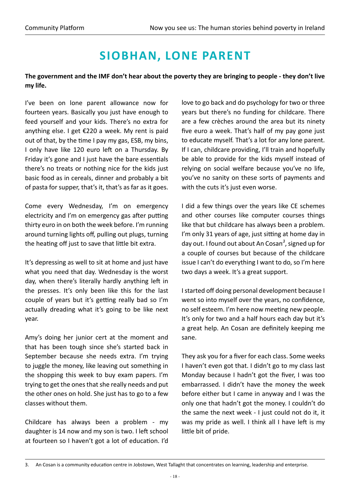## **Siobhan, Lone Parent**

#### **The government and the IMF don't hear about the poverty they are bringing to people - they don't live my life.**

I've been on lone parent allowance now for fourteen years. Basically you just have enough to feed yourself and your kids. There's no extra for anything else. I get €220 a week. My rent is paid out of that, by the time I pay my gas, ESB, my bins, I only have like 120 euro left on a Thursday. By Friday it's gone and I just have the bare essentials there's no treats or nothing nice for the kids just basic food as in cereals, dinner and probably a bit of pasta for supper, that's it, that's as far as it goes.

Come every Wednesday, I'm on emergency electricity and I'm on emergency gas after putting thirty euro in on both the week before. I'm running around turning lights off, pulling out plugs, turning the heating off just to save that little bit extra.

It's depressing as well to sit at home and just have what you need that day. Wednesday is the worst day, when there's literally hardly anything left in the presses. It's only been like this for the last couple of years but it's getting really bad so I'm actually dreading what it's going to be like next year.

Amy's doing her junior cert at the moment and that has been tough since she's started back in September because she needs extra. I'm trying to juggle the money, like leaving out something in the shopping this week to buy exam papers. I'm trying to get the ones that she really needs and put the other ones on hold. She just has to go to a few classes without them.

Childcare has always been a problem - my daughter is 14 now and my son is two. I left school at fourteen so I haven't got a lot of education. I'd love to go back and do psychology for two or three years but there's no funding for childcare. There are a few crèches around the area but its ninety five euro a week. That's half of my pay gone just to educate myself. That's a lot for any lone parent. If I can, childcare providing, I'll train and hopefully be able to provide for the kids myself instead of relying on social welfare because you've no life, you've no sanity on these sorts of payments and with the cuts it's just even worse.

I did a few things over the years like CE schemes and other courses like computer courses things like that but childcare has always been a problem. I'm only 31 years of age, just sitting at home day in day out. I found out about An Cosan*<sup>3</sup>* , signed up for a couple of courses but because of the childcare issue I can't do everything I want to do, so I'm here two days a week. It's a great support.

I started off doing personal development because I went so into myself over the years, no confidence, no self esteem. I'm here now meeting new people. It's only for two and a half hours each day but it's a great help. An Cosan are definitely keeping me sane.

They ask you for a fiver for each class. Some weeks I haven't even got that. I didn't go to my class last Monday because I hadn't got the fiver, I was too embarrassed. I didn't have the money the week before either but I came in anyway and I was the only one that hadn't got the money. I couldn't do the same the next week - I just could not do it, it was my pride as well. I think all I have left is my little bit of pride.

<sup>3.</sup> An Cosan is a community education centre in Jobstown, West Tallaght that concentrates on learning, leadership and enterprise.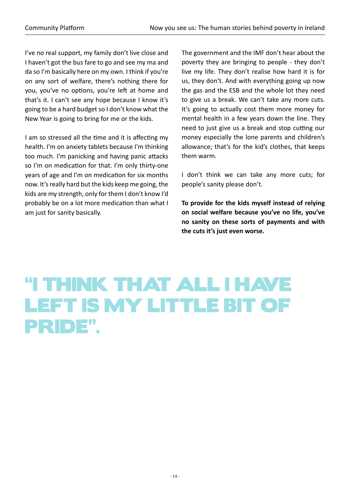I've no real support, my family don't live close and I haven't got the bus fare to go and see my ma and da so I'm basically here on my own. I think if you're on any sort of welfare, there's nothing there for you, you've no options, you're left at home and that's it. I can't see any hope because I know it's going to be a hard budget so I don't know what the New Year is going to bring for me or the kids.

I am so stressed all the time and it is affecting my health. I'm on anxiety tablets because I'm thinking too much. I'm panicking and having panic attacks so I'm on medication for that. I'm only thirty-one years of age and I'm on medication for six months now. It's really hard but the kids keep me going, the kids are my strength, only for them I don't know I'd probably be on a lot more medication than what I am just for sanity basically.

The government and the IMF don't hear about the poverty they are bringing to people - they don't live my life. They don't realise how hard it is for us, they don't. And with everything going up now the gas and the ESB and the whole lot they need to give us a break. We can't take any more cuts. It's going to actually cost them more money for mental health in a few years down the line. They need to just give us a break and stop cutting our money especially the lone parents and children's allowance; that's for the kid's clothes, that keeps them warm.

I don't think we can take any more cuts; for people's sanity please don't.

**To provide for the kids myself instead of relying on social welfare because you've no life, you've no sanity on these sorts of payments and with the cuts it's just even worse.** 

# "I think that all I have left is my little bit of pride".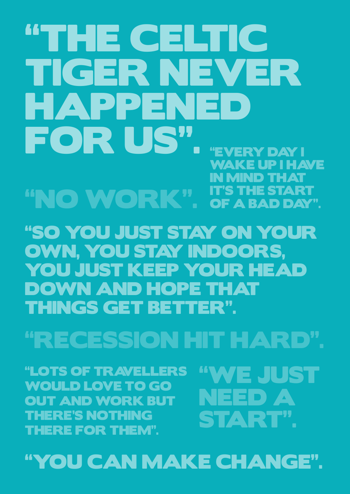# "you can make change".

"Lots of Travellers would love to go out and work but there's nothing there for them".

"WE JUST NEED A START".

# "recession hit HARD".

"So you just stay on your own, you stay indoors, YOU JUST KEEP YOUR HEAD down and hope that things get better".

**N MIND THAT** it's the start of a bad day". "No Work".

# "The Celtic Tiger never happened FOR US". "EVERY DAY! wake up I have